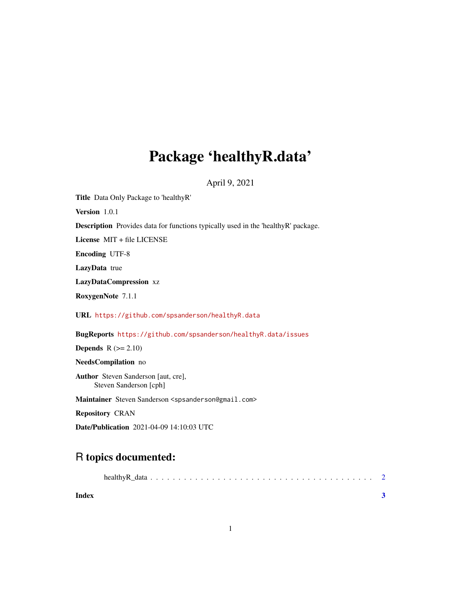## Package 'healthyR.data'

April 9, 2021

Title Data Only Package to 'healthyR' Version 1.0.1 Description Provides data for functions typically used in the 'healthyR' package. License MIT + file LICENSE Encoding UTF-8 LazyData true LazyDataCompression xz RoxygenNote 7.1.1 URL <https://github.com/spsanderson/healthyR.data> BugReports <https://github.com/spsanderson/healthyR.data/issues> **Depends**  $R$  ( $>= 2.10$ ) NeedsCompilation no Author Steven Sanderson [aut, cre], Steven Sanderson [cph] Maintainer Steven Sanderson <spsanderson@gmail.com> Repository CRAN

Date/Publication 2021-04-09 14:10:03 UTC

### R topics documented:

| Index |  |  |
|-------|--|--|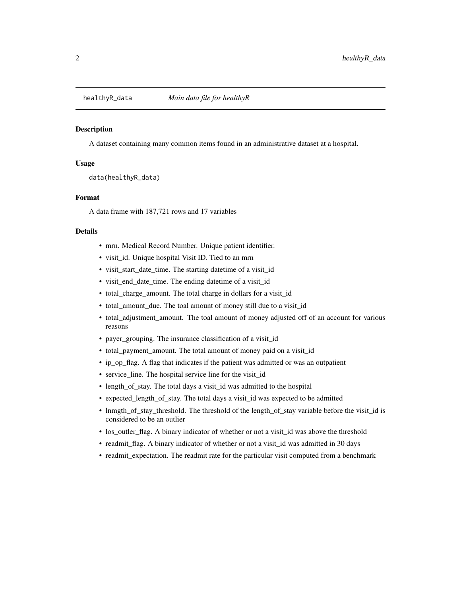<span id="page-1-0"></span>

#### Description

A dataset containing many common items found in an administrative dataset at a hospital.

#### Usage

data(healthyR\_data)

#### Format

A data frame with 187,721 rows and 17 variables

#### Details

- mrn. Medical Record Number. Unique patient identifier.
- visit\_id. Unique hospital Visit ID. Tied to an mrn
- visit\_start\_date\_time. The starting datetime of a visit\_id
- visit\_end\_date\_time. The ending datetime of a visit\_id
- total\_charge\_amount. The total charge in dollars for a visit\_id
- total\_amount\_due. The toal amount of money still due to a visit\_id
- total\_adjustment\_amount. The toal amount of money adjusted off of an account for various reasons
- payer\_grouping. The insurance classification of a visit\_id
- total\_payment\_amount. The total amount of money paid on a visit\_id
- ip\_op\_flag. A flag that indicates if the patient was admitted or was an outpatient
- service\_line. The hospital service line for the visit\_id
- length\_of\_stay. The total days a visit\_id was admitted to the hospital
- expected\_length\_of\_stay. The total days a visit\_id was expected to be admitted
- lnmgth\_of\_stay\_threshold. The threshold of the length\_of\_stay variable before the visit\_id is considered to be an outlier
- los\_outler\_flag. A binary indicator of whether or not a visit\_id was above the threshold
- readmit\_flag. A binary indicator of whether or not a visit\_id was admitted in 30 days
- readmit\_expectation. The readmit rate for the particular visit computed from a benchmark